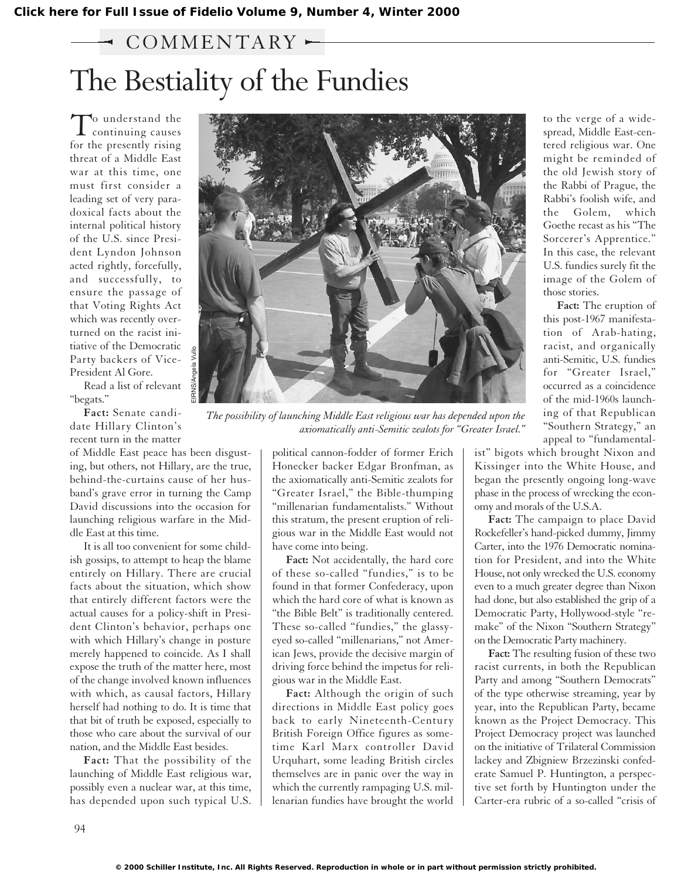## $\sim$  COMMENTARY  $\sim$

# The Bestiality of the Fundies

To understand the<br>continuing causes for the presently rising threat of a Middle East war at this time, one must first consider a leading set of very paradoxical facts about the internal political history of the U.S. since President Lyndon Johnson acted rightly, forcefully, and successfully, to ensure the passage of that Voting Rights Act which was recently overturned on the racist initiative of the Democratic Party backers of Vice-President Al Gore.

Read a list of relevant "begats."

**Fact:** Senate candidate Hillary Clinton's recent turn in the matter

of Middle East peace has been disgusting, but others, not Hillary, are the true, behind-the-curtains cause of her husband's grave error in turning the Camp David discussions into the occasion for launching religious warfare in the Middle East at this time.

It is all too convenient for some childish gossips, to attempt to heap the blame entirely on Hillary. There are crucial facts about the situation, which show that entirely different factors were the actual causes for a policy-shift in President Clinton's behavior, perhaps one with which Hillary's change in posture merely happened to coincide. As I shall expose the truth of the matter here, most of the change involved known influences with which, as causal factors, Hillary herself had nothing to do. It is time that that bit of truth be exposed, especially to those who care about the survival of our nation, and the Middle East besides.

**Fact:** That the possibility of the launching of Middle East religious war, possibly even a nuclear war, at this time, has depended upon such typical U.S.



*The possibility of launching Middle East religious war has depended upon the axiomatically anti-Semitic zealots for "Greater Israel."*

political cannon-fodder of former Erich Honecker backer Edgar Bronfman, as the axiomatically anti-Semitic zealots for "Greater Israel," the Bible-thumping "millenarian fundamentalists." Without this stratum, the present eruption of religious war in the Middle East would not have come into being.

**Fact:** Not accidentally, the hard core of these so-called "fundies," is to be found in that former Confederacy, upon which the hard core of what is known as "the Bible Belt" is traditionally centered. These so-called "fundies," the glassyeyed so-called "millenarians," not American Jews, provide the decisive margin of driving force behind the impetus for religious war in the Middle East.

**Fact:** Although the origin of such directions in Middle East policy goes back to early Nineteenth-Century British Foreign Office figures as sometime Karl Marx controller David Urquhart, some leading British circles themselves are in panic over the way in which the currently rampaging U.S. millenarian fundies have brought the world

to the verge of a widespread, Middle East-centered religious war. One might be reminded of the old Jewish story of the Rabbi of Prague, the Rabbi's foolish wife, and the Golem, which Goethe recast as his "The Sorcerer's Apprentice." In this case, the relevant U.S. fundies surely fit the image of the Golem of those stories.

**Fact:** The eruption of this post-1967 manifestation of Arab-hating, racist, and organically anti-Semitic, U.S. fundies for "Greater Israel," occurred as a coincidence of the mid-1960s launching of that Republican "Southern Strategy," an appeal to "fundamental-

ist" bigots which brought Nixon and Kissinger into the White House, and began the presently ongoing long-wave phase in the process of wrecking the economy and morals of the U.S.A.

**Fact:** The campaign to place David Rockefeller's hand-picked dummy, Jimmy Carter, into the 1976 Democratic nomination for President, and into the White House, not only wrecked the U.S. economy even to a much greater degree than Nixon had done, but also established the grip of a Democratic Party, Hollywood-style "remake" of the Nixon "Southern Strategy" on the Democratic Party machinery.

**Fact:** The resulting fusion of these two racist currents, in both the Republican Party and among "Southern Democrats" of the type otherwise streaming, year by year, into the Republican Party, became known as the Project Democracy. This Project Democracy project was launched on the initiative of Trilateral Commission lackey and Zbigniew Brzezinski confederate Samuel P. Huntington, a perspective set forth by Huntington under the Carter-era rubric of a so-called "crisis of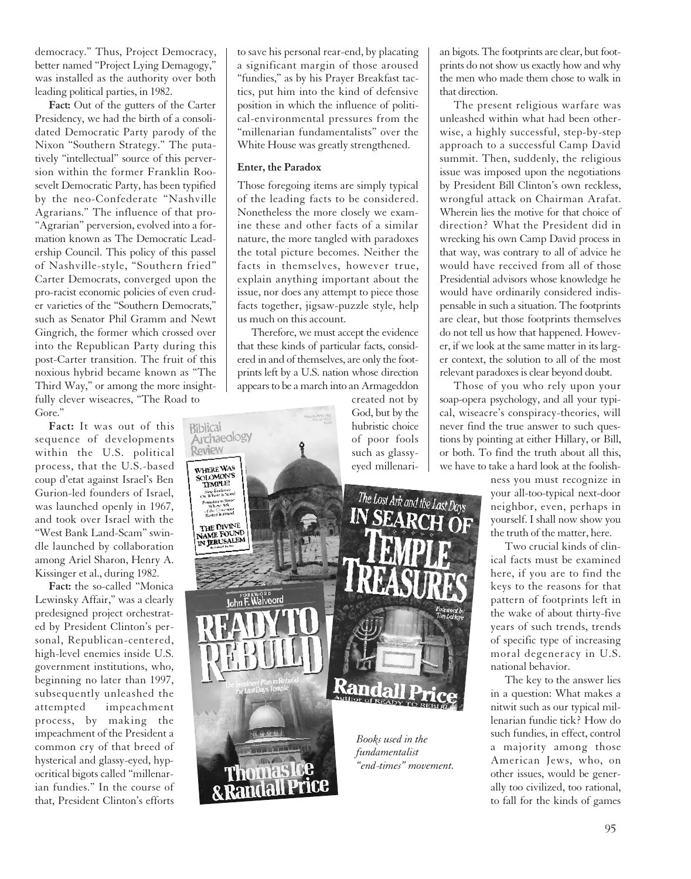democracy." Thus, Project Democracy, better named "Project Lying Demagogy," was installed as the authority over both leading political parties, in 1982.

**Fact:** Out of the gutters of the Carter Presidency, we had the birth of a consolidated Democratic Party parody of the Nixon "Southern Strategy." The putatively "intellectual" source of this perversion within the former Franklin Roosevelt Democratic Party, has been typified by the neo-Confederate "Nashville Agrarians." The influence of that pro- "Agrarian" perversion, evolved into a formation known as The Democratic Leadership Council. This policy of this passel of Nashville-style, "Southern fried" Carter Democrats, converged upon the pro-racist economic policies of even cruder varieties of the "Southern Democrats," such as Senator Phil Gramm and Newt Gingrich, the former which crossed over into the Republican Party during this post-Carter transition. The fruit of this noxious hybrid became known as "The Third Way," or among the more insightfully clever wiseacres, "The Road to Gore."

**Fact:** It was out of this sequence of developments within the U.S. political process, that the U.S.-based coup d'etat against Israel's Ben Gurion-led founders of Israel, was launched openly in 1967, and took over Israel with the "West Bank Land-Scam" swindle launched by collaboration among Ariel Sharon, Henry A. Kissinger et al., during 1982.

**Fact:** the so-called "Monica Lewinsky Affair," was a clearly predesigned project orchestrated by President Clinton's personal, Republican-centered, high-level enemies inside U.S. government institutions, who, beginning no later than 1997, subsequently unleashed the attempted impeachment process, by making the impeachment of the President a common cry of that breed of hysterical and glassy-eyed, hypocritical bigots called "millenarian fundies." In the course of that, President Clinton's efforts to save his personal rear-end, by placating a significant margin of those aroused "fundies," as by his Prayer Breakfast tactics, put him into the kind of defensive position in which the influence of political-environmental pressures from the "millenarian fundamentalists" over the White House was greatly strengthened.

#### **Enter, the Paradox**

Those foregoing items are simply typical of the leading facts to be considered. Nonetheless the more closely we examine these and other facts of a similar nature, the more tangled with paradoxes the total picture becomes. Neither the facts in themselves, however true, explain anything important about the issue, nor does any attempt to piece those facts together, jigsaw-puzzle style, help us much on this account.

Therefore, we must accept the evidence that these kinds of particular facts, considered in and of themselves, are only the footprints left by a U.S. nation whose direction appears to be a march into an Armageddon

created not by God, but by the hubristic choice of poor fools such as glassyeyed millenari-

The Lost Ark and the Last Days

*Books used in the fundamentalist "end-times" movement.* 

an bigots. The footprints are clear, but footprints do not show us exactly how and why the men who made them chose to walk in that direction.

The present religious warfare was unleashed within what had been otherwise, a highly successful, step-by-step approach to a successful Camp David summit. Then, suddenly, the religious issue was imposed upon the negotiations by President Bill Clinton's own reckless, wrongful attack on Chairman Arafat. Wherein lies the motive for that choice of direction? What the President did in wrecking his own Camp David process in that way, was contrary to all of advice he would have received from all of those Presidential advisors whose knowledge he would have ordinarily considered indispensable in such a situation. The footprints are clear, but those footprints themselves do not tell us how that happened. However, if we look at the same matter in its larger context, the solution to all of the most relevant paradoxes is clear beyond doubt.

Those of you who rely upon your soap-opera psychology, and all your typical, wiseacre's conspiracy-theories, will never find the true answer to such questions by pointing at either Hillary, or Bill, or both. To find the truth about all this, we have to take a hard look at the foolish-

> ness you must recognize in your all-too-typical next-door neighbor, even, perhaps in yourself. I shall now show you the truth of the matter, here.

> Two crucial kinds of clinical facts must be examined here, if you are to find the keys to the reasons for that pattern of footprints left in the wake of about thirty-five years of such trends, trends of specific type of increasing moral degeneracy in U.S. national behavior.

> The key to the answer lies in a question: What makes a nitwit such as our typical millenarian fundie tick? How do such fundies, in effect, control a majority among those American Jews, who, on other issues, would be generally too civilized, too rational, to fall for the kinds of games



95

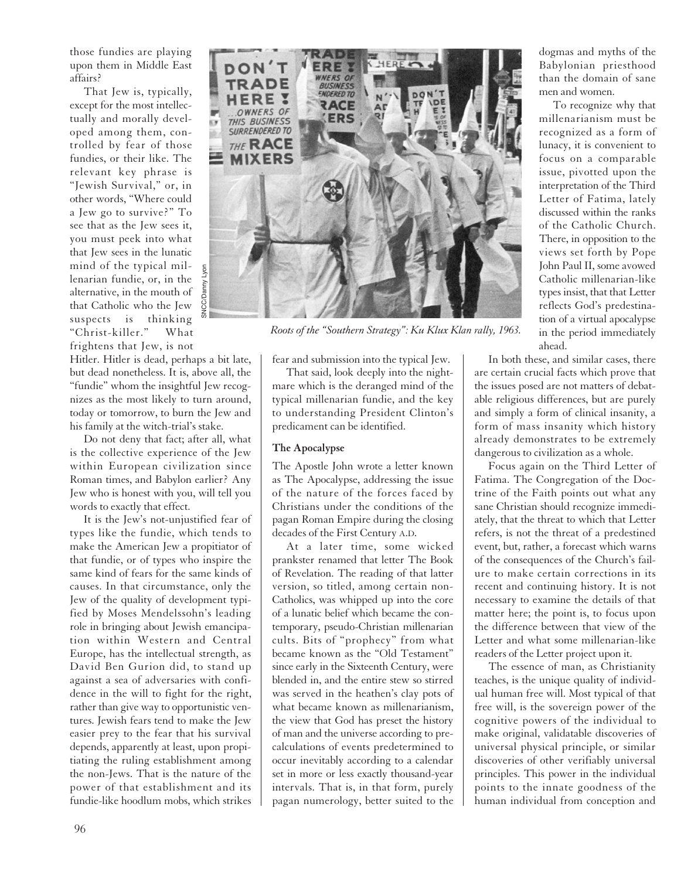those fundies are playing upon them in Middle East affairs?

That Jew is, typically, except for the most intellectually and morally developed among them, controlled by fear of those fundies, or their like. The relevant key phrase is "Jewish Survival," or, in other words, "Where could a Jew go to survive?" To see that as the Jew sees it, you must peek into what that Jew sees in the lunatic mind of the typical millenarian fundie, or, in the alternative, in the mouth of that Catholic who the Jew suspects is thinking "Christ-killer." What frightens that Jew, is not

Hitler. Hitler is dead, perhaps a bit late, but dead nonetheless. It is, above all, the "fundie" whom the insightful Jew recognizes as the most likely to turn around, today or tomorrow, to burn the Jew and his family at the witch-trial's stake.

Do not deny that fact; after all, what is the collective experience of the Jew within European civilization since Roman times, and Babylon earlier? Any Jew who is honest with you, will tell you words to exactly that effect.

It is the Jew's not-unjustified fear of types like the fundie, which tends to make the American Jew a propitiator of that fundie, or of types who inspire the same kind of fears for the same kinds of causes. In that circumstance, only the Jew of the quality of development typified by Moses Mendelssohn's leading role in bringing about Jewish emancipation within Western and Central Europe, has the intellectual strength, as David Ben Gurion did, to stand up against a sea of adversaries with confidence in the will to fight for the right, rather than give way to opportunistic ventures. Jewish fears tend to make the Jew easier prey to the fear that his survival depends, apparently at least, upon propitiating the ruling establishment among the non-Jews. That is the nature of the power of that establishment and its fundie-like hoodlum mobs, which strikes



*Roots of the "Southern Strategy": Ku Klux Klan rally, 1963.*

fear and submission into the typical Jew.

That said, look deeply into the nightmare which is the deranged mind of the typical millenarian fundie, and the key to understanding President Clinton's predicament can be identified.

### **The Apocalypse**

The Apostle John wrote a letter known as The Apocalypse, addressing the issue of the nature of the forces faced by Christians under the conditions of the pagan Roman Empire during the closing decades of the First Century A.D.

At a later time, some wicked prankster renamed that letter The Book of Revelation. The reading of that latter version, so titled, among certain non-Catholics, was whipped up into the core of a lunatic belief which became the contemporary, pseudo-Christian millenarian cults. Bits of "prophecy" from what became known as the "Old Testament" since early in the Sixteenth Century, were blended in, and the entire stew so stirred was served in the heathen's clay pots of what became known as millenarianism, the view that God has preset the history of man and the universe according to precalculations of events predetermined to occur inevitably according to a calendar set in more or less exactly thousand-year intervals. That is, in that form, purely pagan numerology, better suited to the

dogmas and myths of the Babylonian priesthood than the domain of sane men and women.

To recognize why that millenarianism must be recognized as a form of lunacy, it is convenient to focus on a comparable issue, pivotted upon the interpretation of the Third Letter of Fatima, lately discussed within the ranks of the Catholic Church. There, in opposition to the views set forth by Pope John Paul II, some avowed Catholic millenarian-like types insist, that that Letter reflects God's predestination of a virtual apocalypse in the period immediately ahead.

In both these, and similar cases, there are certain crucial facts which prove that the issues posed are not matters of debatable religious differences, but are purely and simply a form of clinical insanity, a form of mass insanity which history already demonstrates to be extremely dangerous to civilization as a whole.

Focus again on the Third Letter of Fatima. The Congregation of the Doctrine of the Faith points out what any sane Christian should recognize immediately, that the threat to which that Letter refers, is not the threat of a predestined event, but, rather, a forecast which warns of the consequences of the Church's failure to make certain corrections in its recent and continuing history. It is not necessary to examine the details of that matter here; the point is, to focus upon the difference between that view of the Letter and what some millenarian-like readers of the Letter project upon it.

The essence of man, as Christianity teaches, is the unique quality of individual human free will. Most typical of that free will, is the sovereign power of the cognitive powers of the individual to make original, validatable discoveries of universal physical principle, or similar discoveries of other verifiably universal principles. This power in the individual points to the innate goodness of the human individual from conception and